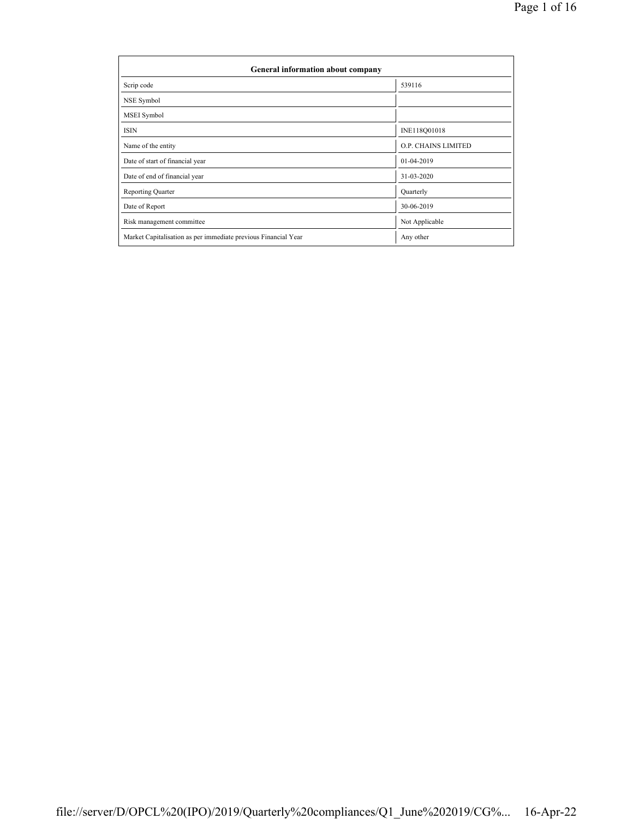| General information about company                              |                            |
|----------------------------------------------------------------|----------------------------|
| Scrip code                                                     | 539116                     |
| NSE Symbol                                                     |                            |
| MSEI Symbol                                                    |                            |
| <b>ISIN</b>                                                    | INE118Q01018               |
| Name of the entity                                             | <b>O.P. CHAINS LIMITED</b> |
| Date of start of financial year                                | 01-04-2019                 |
| Date of end of financial year                                  | 31-03-2020                 |
| <b>Reporting Quarter</b>                                       | Quarterly                  |
| Date of Report                                                 | 30-06-2019                 |
| Risk management committee                                      | Not Applicable             |
| Market Capitalisation as per immediate previous Financial Year | Any other                  |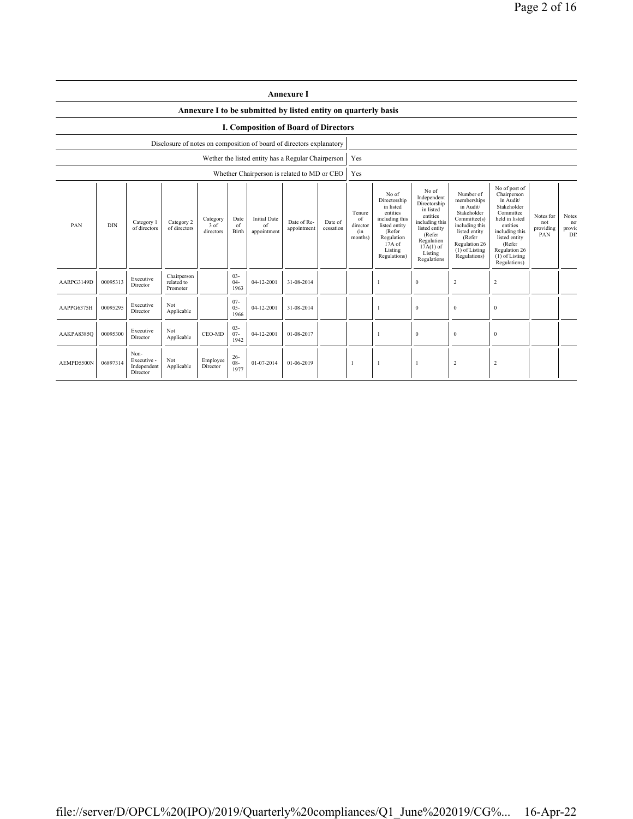|                                                                                                                                                                                                                                           | <b>Annexure I</b>                                                    |                                                |                                       |                      |                                            |                                                                                                                                                |                                                                                                                                                                   |                                                                                                                                                                        |                                                                                                                                                                                                       |                                      |                                    |                |                |  |  |
|-------------------------------------------------------------------------------------------------------------------------------------------------------------------------------------------------------------------------------------------|----------------------------------------------------------------------|------------------------------------------------|---------------------------------------|----------------------|--------------------------------------------|------------------------------------------------------------------------------------------------------------------------------------------------|-------------------------------------------------------------------------------------------------------------------------------------------------------------------|------------------------------------------------------------------------------------------------------------------------------------------------------------------------|-------------------------------------------------------------------------------------------------------------------------------------------------------------------------------------------------------|--------------------------------------|------------------------------------|----------------|----------------|--|--|
|                                                                                                                                                                                                                                           | Annexure I to be submitted by listed entity on quarterly basis       |                                                |                                       |                      |                                            |                                                                                                                                                |                                                                                                                                                                   |                                                                                                                                                                        |                                                                                                                                                                                                       |                                      |                                    |                |                |  |  |
|                                                                                                                                                                                                                                           | I. Composition of Board of Directors                                 |                                                |                                       |                      |                                            |                                                                                                                                                |                                                                                                                                                                   |                                                                                                                                                                        |                                                                                                                                                                                                       |                                      |                                    |                |                |  |  |
|                                                                                                                                                                                                                                           | Disclosure of notes on composition of board of directors explanatory |                                                |                                       |                      |                                            |                                                                                                                                                |                                                                                                                                                                   |                                                                                                                                                                        |                                                                                                                                                                                                       |                                      |                                    |                |                |  |  |
|                                                                                                                                                                                                                                           | Wether the listed entity has a Regular Chairperson                   |                                                |                                       |                      |                                            |                                                                                                                                                |                                                                                                                                                                   |                                                                                                                                                                        | Yes                                                                                                                                                                                                   |                                      |                                    |                |                |  |  |
|                                                                                                                                                                                                                                           |                                                                      |                                                |                                       |                      |                                            | Whether Chairperson is related to MD or CEO                                                                                                    |                                                                                                                                                                   |                                                                                                                                                                        | Yes                                                                                                                                                                                                   |                                      |                                    |                |                |  |  |
| <b>Initial Date</b><br>Date<br>Category<br>Category 2<br>Category 1<br>Date of Re-<br>Date of<br>PAN<br><b>DIN</b><br>$3$ of<br>of<br>of<br>of directors<br>of directors<br>appointment<br>cessation<br>Birth<br>directors<br>appointment |                                                                      |                                                |                                       |                      | Tenure<br>of<br>director<br>(in<br>months) | No of<br>Directorship<br>in listed<br>entities<br>including this<br>listed entity<br>(Refer<br>Regulation<br>17A of<br>Listing<br>Regulations) | No of<br>Independent<br>Directorship<br>in listed<br>entities<br>including this<br>listed entity<br>(Refer<br>Regulation<br>$17A(1)$ of<br>Listing<br>Regulations | Number of<br>memberships<br>in Audit/<br>Stakeholder<br>Committee(s)<br>including this<br>listed entity<br>(Refer<br>Regulation 26<br>$(1)$ of Listing<br>Regulations) | No of post of<br>Chairperson<br>in Audit/<br>Stakeholder<br>Committee<br>held in listed<br>entities<br>including this<br>listed entity<br>(Refer<br>Regulation 26<br>$(1)$ of Listing<br>Regulations) | Notes for<br>not<br>providing<br>PAN | <b>Notes</b><br>no<br>provic<br>DB |                |                |  |  |
| AARPG3149D                                                                                                                                                                                                                                | 00095313                                                             | Executive<br>Director                          | Chairperson<br>related to<br>Promoter |                      | $03 -$<br>$04 -$<br>1963                   | 04-12-2001                                                                                                                                     | 31-08-2014                                                                                                                                                        |                                                                                                                                                                        |                                                                                                                                                                                                       |                                      | $\mathbf{0}$                       | $\overline{2}$ | $\overline{2}$ |  |  |
| AAPPG6375H                                                                                                                                                                                                                                | 00095295                                                             | Executive<br>Director                          | Not<br>Applicable                     |                      | $07 -$<br>$05 -$<br>1966                   | 04-12-2001                                                                                                                                     | 31-08-2014                                                                                                                                                        |                                                                                                                                                                        |                                                                                                                                                                                                       | 1                                    | $\mathbf{0}$                       | $\bf{0}$       | $\bf{0}$       |  |  |
| $03 -$<br>Not<br>Executive<br>00095300<br>CEO-MD<br>$07 -$<br>04-12-2001<br>01-08-2017<br>AAKPA8385Q<br>Applicable<br>Director<br>1942                                                                                                    |                                                                      |                                                |                                       |                      |                                            |                                                                                                                                                |                                                                                                                                                                   | 1                                                                                                                                                                      | $\mathbf{0}$                                                                                                                                                                                          | $\bf{0}$                             | $\bf{0}$                           |                |                |  |  |
| AEMPD5500N                                                                                                                                                                                                                                | 06897314                                                             | Non-<br>Executive -<br>Independent<br>Director | Not<br>Applicable                     | Employee<br>Director | $26 -$<br>$08 -$<br>1977                   | 01-07-2014                                                                                                                                     | 01-06-2019                                                                                                                                                        |                                                                                                                                                                        | -1                                                                                                                                                                                                    | $\mathbf{1}$                         | -1                                 | $\overline{2}$ | $\overline{2}$ |  |  |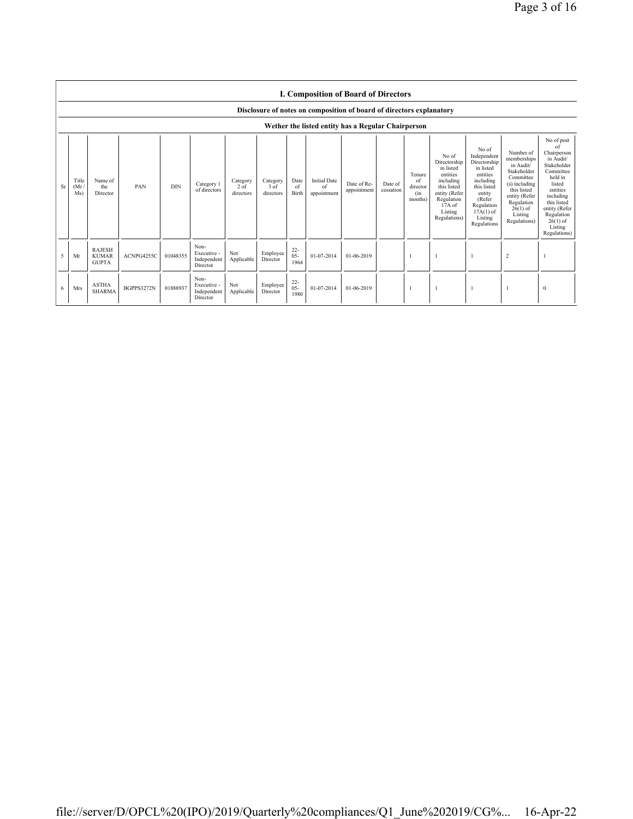|    | <b>I. Composition of Board of Directors</b>                          |                                               |                   |            |                                                |                                 |                               |                          |                                          |                                                    |                      |                                            |                                                                                                                                                |                                                                                                                                                                      |                                                                                                                                                                           |                                                                                                                                                                                                               |
|----|----------------------------------------------------------------------|-----------------------------------------------|-------------------|------------|------------------------------------------------|---------------------------------|-------------------------------|--------------------------|------------------------------------------|----------------------------------------------------|----------------------|--------------------------------------------|------------------------------------------------------------------------------------------------------------------------------------------------|----------------------------------------------------------------------------------------------------------------------------------------------------------------------|---------------------------------------------------------------------------------------------------------------------------------------------------------------------------|---------------------------------------------------------------------------------------------------------------------------------------------------------------------------------------------------------------|
|    | Disclosure of notes on composition of board of directors explanatory |                                               |                   |            |                                                |                                 |                               |                          |                                          |                                                    |                      |                                            |                                                                                                                                                |                                                                                                                                                                      |                                                                                                                                                                           |                                                                                                                                                                                                               |
|    |                                                                      |                                               |                   |            |                                                |                                 |                               |                          |                                          | Wether the listed entity has a Regular Chairperson |                      |                                            |                                                                                                                                                |                                                                                                                                                                      |                                                                                                                                                                           |                                                                                                                                                                                                               |
| Sr | Title<br>(Mr)<br>Ms)                                                 | Name of<br>the<br>Director                    | PAN               | <b>DIN</b> | Category 1<br>of directors                     | Category<br>$2$ of<br>directors | Category<br>3 of<br>directors | Date<br>of<br>Birth      | <b>Initial Date</b><br>of<br>appointment | Date of Re-<br>appointment                         | Date of<br>cessation | Tenure<br>of<br>director<br>(in<br>months) | No of<br>Directorship<br>in listed<br>entities<br>including<br>this listed<br>entity (Refer<br>Regulation<br>17A of<br>Listing<br>Regulations) | No of<br>Independent<br>Directorship<br>in listed<br>entities<br>including<br>this listed<br>entity<br>(Refer<br>Regulation<br>$17A(1)$ of<br>Listing<br>Regulations | Number of<br>memberships<br>in Audit/<br>Stakeholder<br>Committee<br>(s) including<br>this listed<br>entity (Refer<br>Regulation<br>$26(1)$ of<br>Listing<br>Regulations) | No of post<br>of<br>Chairperson<br>in Audit/<br>Stakeholder<br>Committee<br>held in<br>listed<br>entities<br>including<br>this listed<br>entity (Refer<br>Regulation<br>$26(1)$ of<br>Listing<br>Regulations) |
| 5  | Mr                                                                   | <b>RAJESH</b><br><b>KUMAR</b><br><b>GUPTA</b> | ACNPG4255C        | 01048355   | Non-<br>Executive -<br>Independent<br>Director | Not<br>Applicable               | Employee<br>Director          | $22 -$<br>$05 -$<br>1964 | 01-07-2014                               | 01-06-2019                                         |                      |                                            |                                                                                                                                                |                                                                                                                                                                      | 2                                                                                                                                                                         |                                                                                                                                                                                                               |
| 6  | Mrs                                                                  | <b>ASTHA</b><br><b>SHARMA</b>                 | <b>BGPPS3272N</b> | 01888937   | Non-<br>Executive -<br>Independent<br>Director | Not<br>Applicable               | Employee<br>Director          | $22 -$<br>$05 -$<br>1980 | 01-07-2014                               | 01-06-2019                                         |                      |                                            |                                                                                                                                                |                                                                                                                                                                      | $\overline{1}$                                                                                                                                                            | $\bf{0}$                                                                                                                                                                                                      |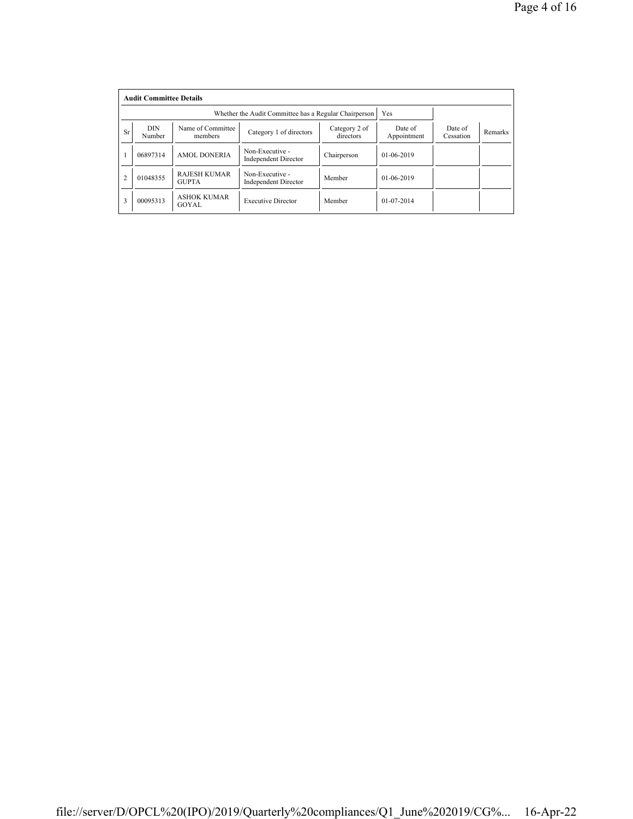|                | <b>Audit Committee Details</b> |                                     |                                                       |                            |                        |                      |                |  |  |  |
|----------------|--------------------------------|-------------------------------------|-------------------------------------------------------|----------------------------|------------------------|----------------------|----------------|--|--|--|
|                |                                |                                     | Whether the Audit Committee has a Regular Chairperson |                            | Yes                    |                      |                |  |  |  |
| <b>Sr</b>      | <b>DIN</b><br>Number           | Name of Committee<br>members        | Category 1 of directors                               | Category 2 of<br>directors | Date of<br>Appointment | Date of<br>Cessation | <b>Remarks</b> |  |  |  |
|                | 06897314                       | <b>AMOL DONERIA</b>                 | Non-Executive -<br><b>Independent Director</b>        | Chairperson                | $01-06-2019$           |                      |                |  |  |  |
| $\overline{2}$ | 01048355                       | <b>RAJESH KUMAR</b><br><b>GUPTA</b> | Non-Executive -<br><b>Independent Director</b>        | Member                     | $01-06-2019$           |                      |                |  |  |  |
| 3              | 00095313                       | <b>ASHOK KUMAR</b><br>GOYAL         | <b>Executive Director</b>                             | Member                     | $01 - 07 - 2014$       |                      |                |  |  |  |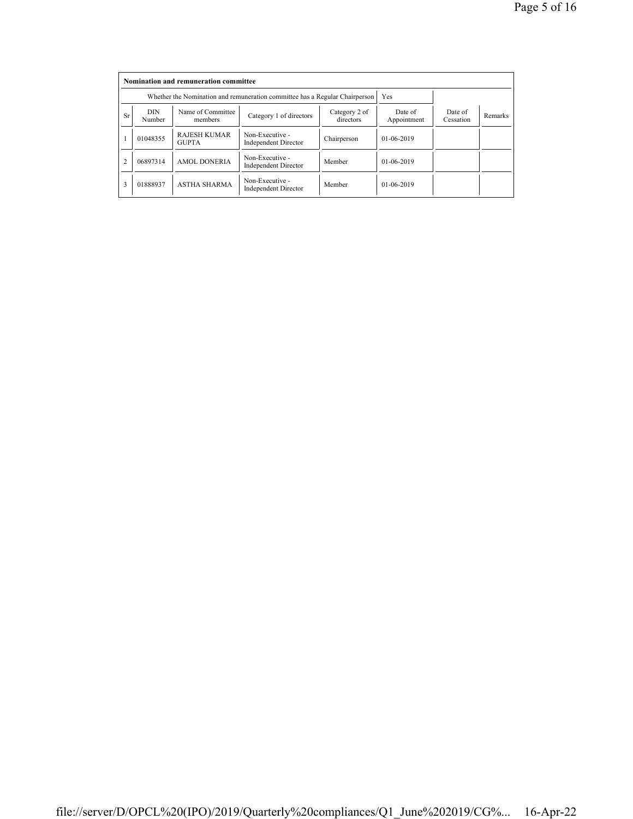|                | Nomination and remuneration committee |                                                                             |                                                |                            |                        |                      |         |  |  |  |
|----------------|---------------------------------------|-----------------------------------------------------------------------------|------------------------------------------------|----------------------------|------------------------|----------------------|---------|--|--|--|
|                |                                       | Whether the Nomination and remuneration committee has a Regular Chairperson |                                                | Yes                        |                        |                      |         |  |  |  |
| <b>Sr</b>      | DIN<br>Number                         | Name of Committee<br>members                                                | Category 1 of directors                        | Category 2 of<br>directors | Date of<br>Appointment | Date of<br>Cessation | Remarks |  |  |  |
|                | 01048355                              | <b>RAJESH KUMAR</b><br><b>GUPTA</b>                                         | Non-Executive -<br><b>Independent Director</b> | Chairperson                | $01-06-2019$           |                      |         |  |  |  |
| $\overline{c}$ | 06897314                              | <b>AMOL DONERIA</b>                                                         | Non-Executive -<br><b>Independent Director</b> | Member                     | $01-06-2019$           |                      |         |  |  |  |
| 3              | 01888937                              | <b>ASTHA SHARMA</b>                                                         | Non-Executive -<br><b>Independent Director</b> | Member                     | $01-06-2019$           |                      |         |  |  |  |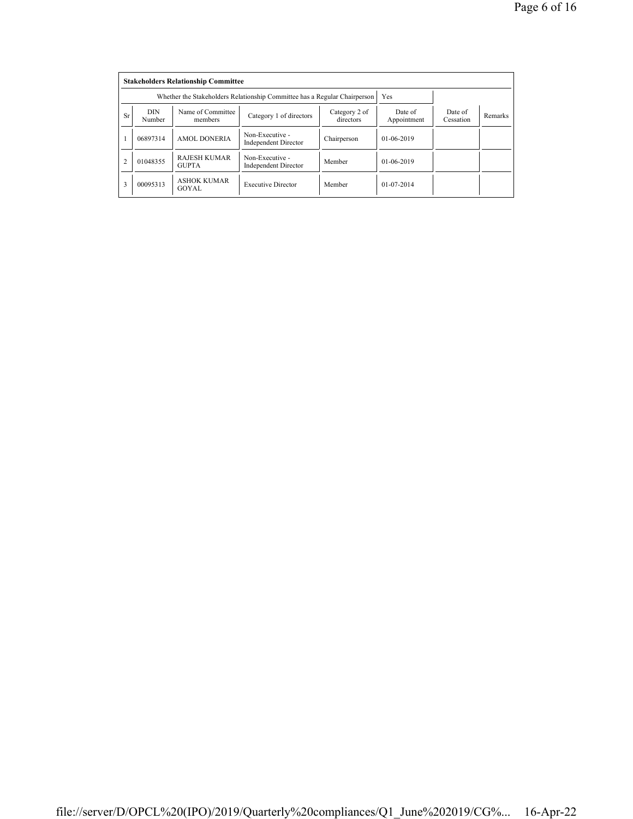|                | <b>Stakeholders Relationship Committee</b> |                                                                           |                                                |                            |                        |                      |         |  |  |  |
|----------------|--------------------------------------------|---------------------------------------------------------------------------|------------------------------------------------|----------------------------|------------------------|----------------------|---------|--|--|--|
|                |                                            | Whether the Stakeholders Relationship Committee has a Regular Chairperson |                                                | Yes                        |                        |                      |         |  |  |  |
| <b>Sr</b>      | DIN<br>Number                              | Name of Committee<br>members                                              | Category 1 of directors                        | Category 2 of<br>directors | Date of<br>Appointment | Date of<br>Cessation | Remarks |  |  |  |
|                | 06897314                                   | <b>AMOL DONERIA</b>                                                       | Non-Executive -<br><b>Independent Director</b> | Chairperson                | $01-06-2019$           |                      |         |  |  |  |
| $\overline{2}$ | 01048355                                   | <b>RAJESH KUMAR</b><br><b>GUPTA</b>                                       | Non-Executive -<br><b>Independent Director</b> | Member                     | $01-06-2019$           |                      |         |  |  |  |
| 3              | 00095313                                   | <b>ASHOK KUMAR</b><br>GOYAL                                               | <b>Executive Director</b>                      | Member                     | $01 - 07 - 2014$       |                      |         |  |  |  |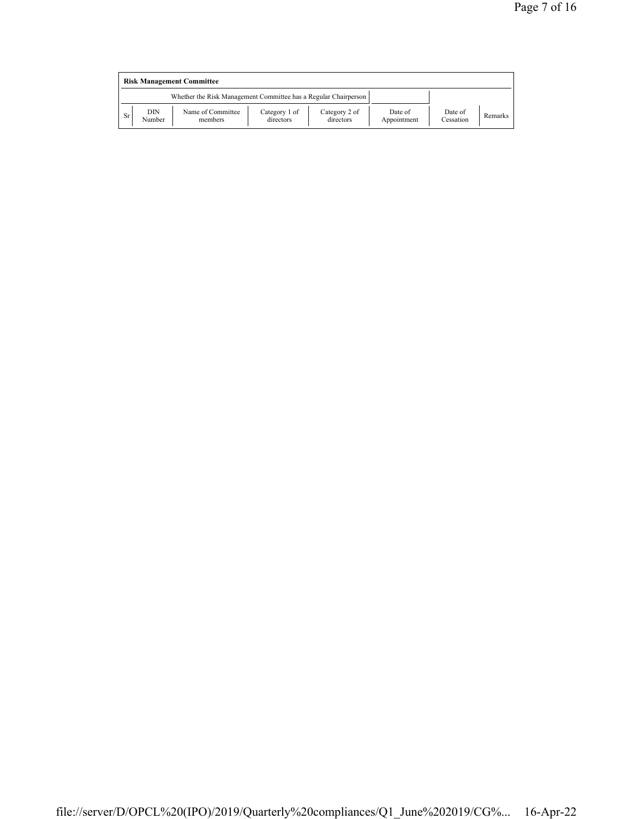|     | <b>Risk Management Committee</b> |                                                                 |                            |                            |                        |                      |         |  |  |  |
|-----|----------------------------------|-----------------------------------------------------------------|----------------------------|----------------------------|------------------------|----------------------|---------|--|--|--|
|     |                                  | Whether the Risk Management Committee has a Regular Chairperson |                            |                            |                        |                      |         |  |  |  |
| Sr. | DIN<br>Number                    | Name of Committee<br>members                                    | Category 1 of<br>directors | Category 2 of<br>directors | Date of<br>Appointment | Date of<br>Cessation | Remarks |  |  |  |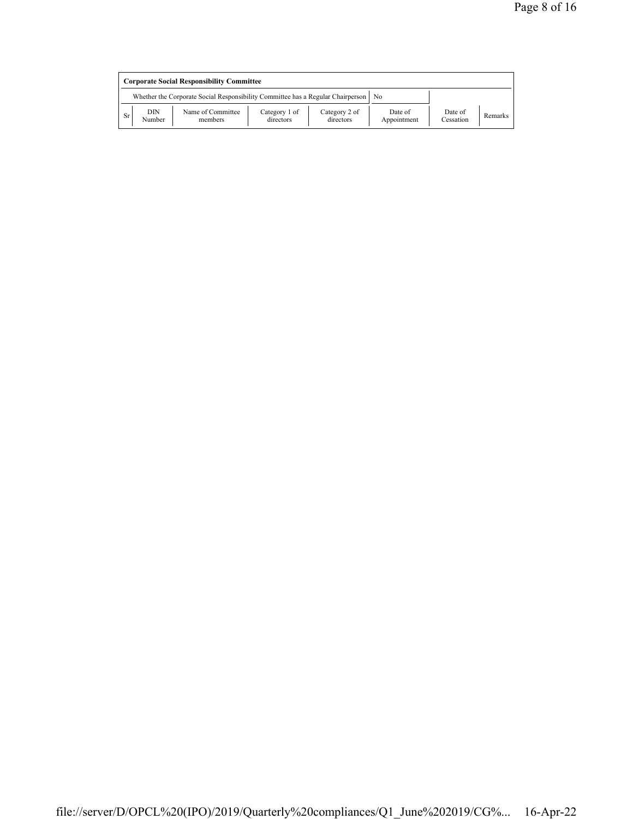|           | <b>Corporate Social Responsibility Committee</b> |                                                                                      |                            |                            |                        |                      |                |  |  |
|-----------|--------------------------------------------------|--------------------------------------------------------------------------------------|----------------------------|----------------------------|------------------------|----------------------|----------------|--|--|
|           |                                                  | Whether the Corporate Social Responsibility Committee has a Regular Chairperson   No |                            |                            |                        |                      |                |  |  |
| <b>Sr</b> | DIN<br>Number                                    | Name of Committee<br>members                                                         | Category 1 of<br>directors | Category 2 of<br>directors | Date of<br>Appointment | Date of<br>Cessation | <b>Remarks</b> |  |  |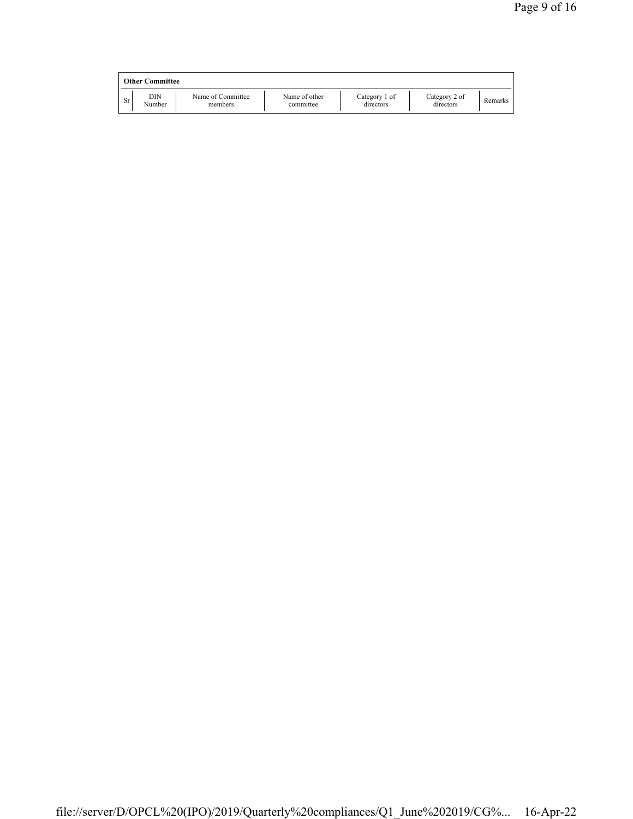|    | <b>Other Committee</b> |                              |                            |                            |                            |         |
|----|------------------------|------------------------------|----------------------------|----------------------------|----------------------------|---------|
| Sr | DIN<br>Number          | Name of Committee<br>members | Name of other<br>committee | Category 1 of<br>directors | Category 2 of<br>directors | Remarks |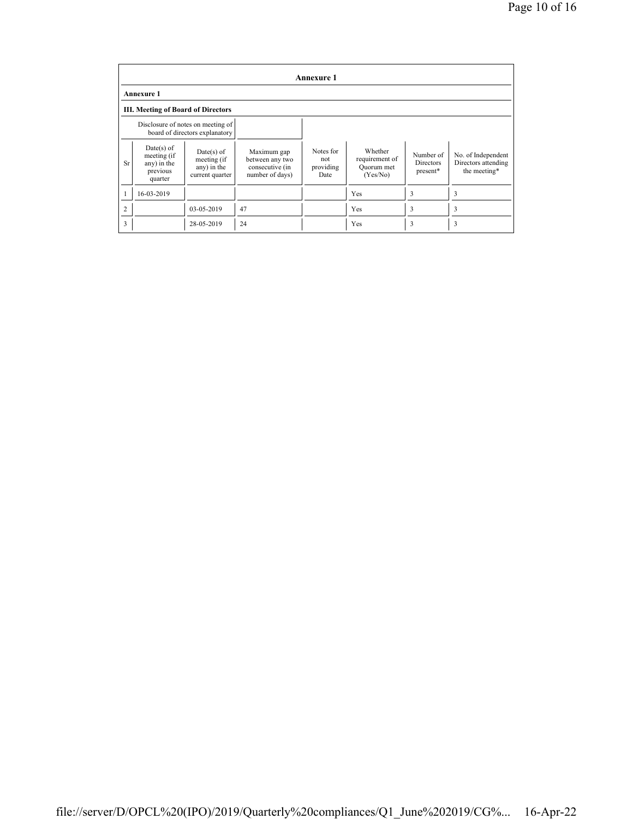|                | <b>Annexure 1</b>                                                 |                                                                     |                                                                      |                                       |                                                     |                                           |                                                           |  |  |
|----------------|-------------------------------------------------------------------|---------------------------------------------------------------------|----------------------------------------------------------------------|---------------------------------------|-----------------------------------------------------|-------------------------------------------|-----------------------------------------------------------|--|--|
|                | <b>Annexure 1</b>                                                 |                                                                     |                                                                      |                                       |                                                     |                                           |                                                           |  |  |
|                | III. Meeting of Board of Directors                                |                                                                     |                                                                      |                                       |                                                     |                                           |                                                           |  |  |
|                |                                                                   | Disclosure of notes on meeting of<br>board of directors explanatory |                                                                      |                                       |                                                     |                                           |                                                           |  |  |
| <b>Sr</b>      | $Date(s)$ of<br>meeting (if<br>any) in the<br>previous<br>quarter | $Date(s)$ of<br>meeting (if<br>any) in the<br>current quarter       | Maximum gap<br>between any two<br>consecutive (in<br>number of days) | Notes for<br>not<br>providing<br>Date | Whether<br>requirement of<br>Quorum met<br>(Yes/No) | Number of<br><b>Directors</b><br>present* | No. of Independent<br>Directors attending<br>the meeting* |  |  |
|                | 16-03-2019                                                        |                                                                     |                                                                      |                                       | Yes                                                 | 3                                         | 3                                                         |  |  |
| $\overline{2}$ |                                                                   | 03-05-2019                                                          | 47                                                                   |                                       | Yes                                                 | 3                                         | 3                                                         |  |  |
| 3              |                                                                   | 28-05-2019                                                          | 24                                                                   |                                       | Yes                                                 | 3                                         | 3                                                         |  |  |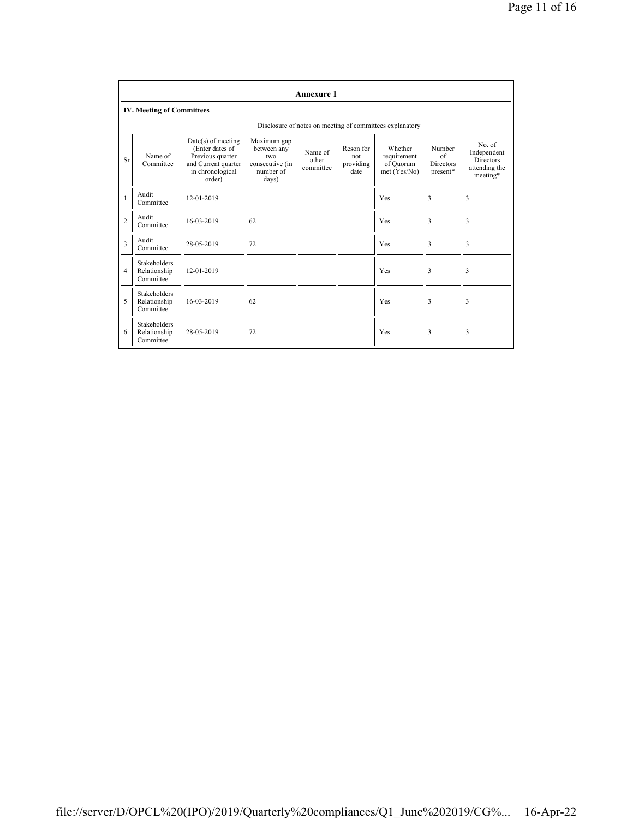|                | <b>Annexure 1</b>                                |                                                                                                                  |                                                                            |                               |                                       |                                                          |                                              |                                                                        |
|----------------|--------------------------------------------------|------------------------------------------------------------------------------------------------------------------|----------------------------------------------------------------------------|-------------------------------|---------------------------------------|----------------------------------------------------------|----------------------------------------------|------------------------------------------------------------------------|
|                | <b>IV. Meeting of Committees</b>                 |                                                                                                                  |                                                                            |                               |                                       |                                                          |                                              |                                                                        |
|                |                                                  |                                                                                                                  |                                                                            |                               |                                       | Disclosure of notes on meeting of committees explanatory |                                              |                                                                        |
| <b>Sr</b>      | Name of<br>Committee                             | $Date(s)$ of meeting<br>(Enter dates of<br>Previous quarter<br>and Current quarter<br>in chronological<br>order) | Maximum gap<br>between any<br>two<br>consecutive (in<br>number of<br>days) | Name of<br>other<br>committee | Reson for<br>not<br>providing<br>date | Whether<br>requirement<br>of Ouorum<br>met (Yes/No)      | Number<br>of<br><b>Directors</b><br>present* | No. of<br>Independent<br><b>Directors</b><br>attending the<br>meeting* |
|                | Audit<br>Committee                               | 12-01-2019                                                                                                       |                                                                            |                               |                                       | Yes                                                      | 3                                            | 3                                                                      |
| $\overline{c}$ | Audit<br>Committee                               | 16-03-2019                                                                                                       | 62                                                                         |                               |                                       | Yes                                                      | 3                                            | 3                                                                      |
| 3              | Audit<br>Committee                               | 28-05-2019                                                                                                       | 72                                                                         |                               |                                       | Yes                                                      | 3                                            | 3                                                                      |
| $\overline{4}$ | <b>Stakeholders</b><br>Relationship<br>Committee | 12-01-2019                                                                                                       |                                                                            |                               |                                       | Yes                                                      | 3                                            | 3                                                                      |
| 5              | <b>Stakeholders</b><br>Relationship<br>Committee | 16-03-2019                                                                                                       | 62                                                                         |                               |                                       | Yes                                                      | 3                                            | 3                                                                      |
| 6              | <b>Stakeholders</b><br>Relationship<br>Committee | 28-05-2019                                                                                                       | 72                                                                         |                               |                                       | Yes                                                      | 3                                            | 3                                                                      |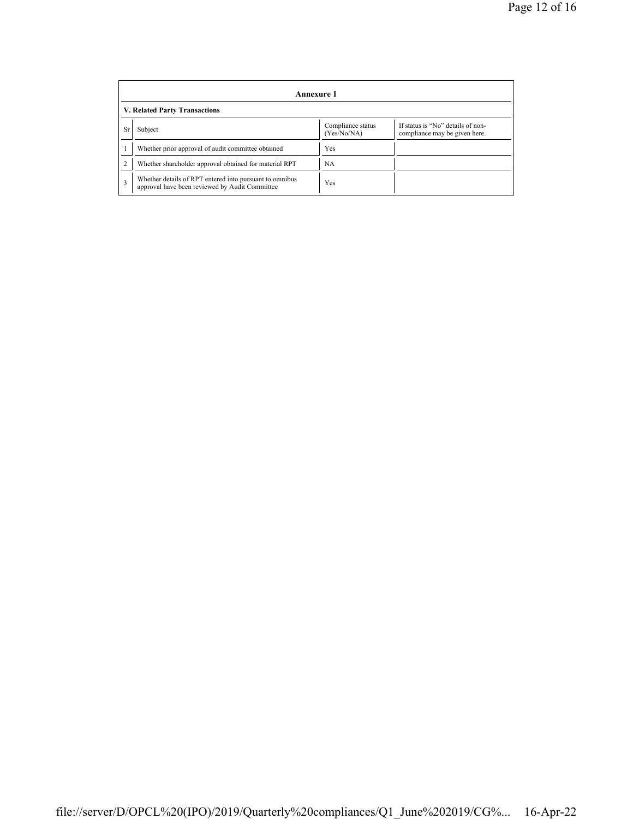|    | Annexure 1                                                                                                |                                  |                                                                    |  |  |  |  |  |
|----|-----------------------------------------------------------------------------------------------------------|----------------------------------|--------------------------------------------------------------------|--|--|--|--|--|
|    | V. Related Party Transactions                                                                             |                                  |                                                                    |  |  |  |  |  |
| Sr | Subject                                                                                                   | Compliance status<br>(Yes/No/NA) | If status is "No" details of non-<br>compliance may be given here. |  |  |  |  |  |
|    | Whether prior approval of audit committee obtained                                                        | Yes                              |                                                                    |  |  |  |  |  |
|    | Whether shareholder approval obtained for material RPT                                                    | NA                               |                                                                    |  |  |  |  |  |
| 3  | Whether details of RPT entered into pursuant to omnibus<br>approval have been reviewed by Audit Committee | Yes                              |                                                                    |  |  |  |  |  |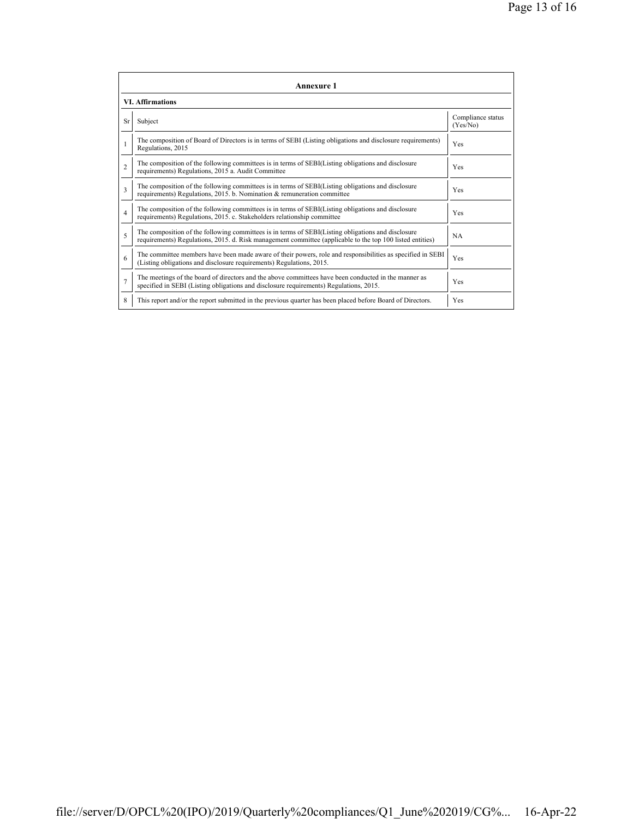| <b>Annexure 1</b>       |                                                                                                                                                                                                                 |                               |  |  |
|-------------------------|-----------------------------------------------------------------------------------------------------------------------------------------------------------------------------------------------------------------|-------------------------------|--|--|
| <b>VI. Affirmations</b> |                                                                                                                                                                                                                 |                               |  |  |
| <b>Sr</b>               | Subject                                                                                                                                                                                                         | Compliance status<br>(Yes/No) |  |  |
|                         | The composition of Board of Directors is in terms of SEBI (Listing obligations and disclosure requirements)<br>Regulations, 2015                                                                                | Yes                           |  |  |
| $\mathfrak{D}$          | The composition of the following committees is in terms of SEBI(Listing obligations and disclosure<br>requirements) Regulations, 2015 a. Audit Committee                                                        | <b>Yes</b>                    |  |  |
| 3                       | The composition of the following committees is in terms of SEBI(Listing obligations and disclosure<br>requirements) Regulations, 2015. b. Nomination & remuneration committee                                   | Yes                           |  |  |
| $\overline{4}$          | The composition of the following committees is in terms of SEBI(Listing obligations and disclosure<br>requirements) Regulations, 2015. c. Stakeholders relationship committee                                   | Yes                           |  |  |
| 5                       | The composition of the following committees is in terms of SEBI(Listing obligations and disclosure<br>requirements) Regulations, 2015. d. Risk management committee (applicable to the top 100 listed entities) | <b>NA</b>                     |  |  |
| 6                       | The committee members have been made aware of their powers, role and responsibilities as specified in SEBI<br>(Listing obligations and disclosure requirements) Regulations, 2015.                              | Yes                           |  |  |
| $\overline{7}$          | The meetings of the board of directors and the above committees have been conducted in the manner as<br>specified in SEBI (Listing obligations and disclosure requirements) Regulations, 2015.                  | Yes                           |  |  |
| 8                       | This report and/or the report submitted in the previous quarter has been placed before Board of Directors.                                                                                                      | Yes                           |  |  |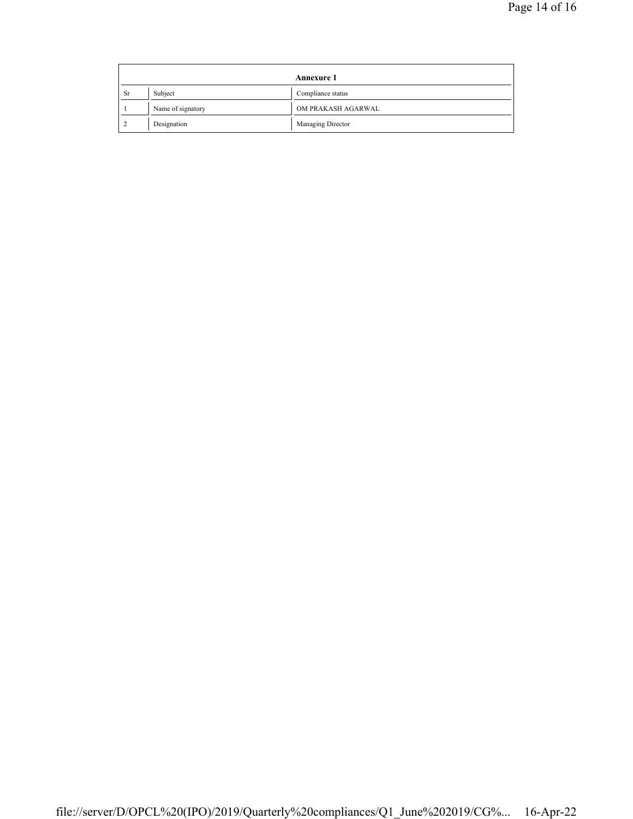| <b>Annexure 1</b> |                   |                    |
|-------------------|-------------------|--------------------|
| <b>Sr</b>         | Subject           | Compliance status  |
|                   | Name of signatory | OM PRAKASH AGARWAL |
|                   | Designation       | Managing Director  |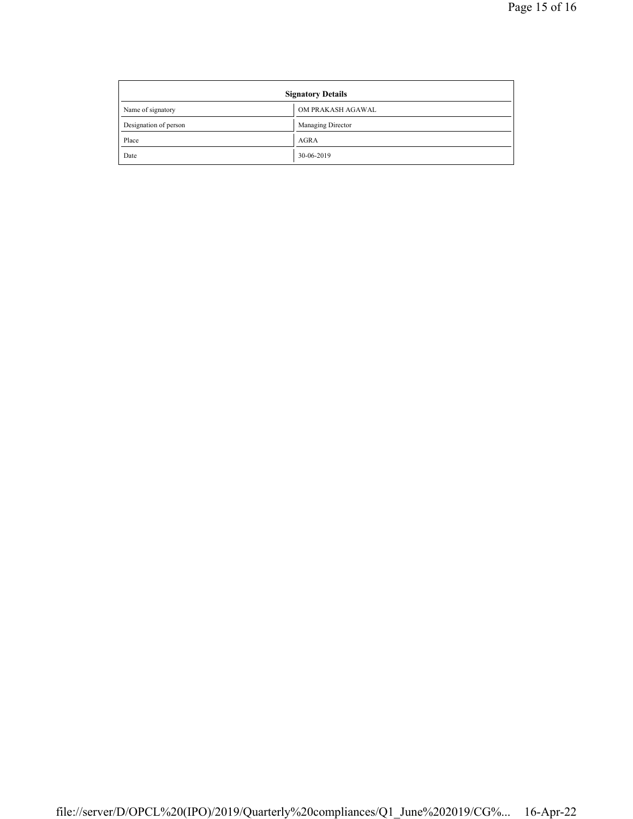| <b>Signatory Details</b> |                   |  |
|--------------------------|-------------------|--|
| Name of signatory        | OM PRAKASH AGAWAL |  |
| Designation of person    | Managing Director |  |
| Place                    | AGRA              |  |
| Date                     | 30-06-2019        |  |